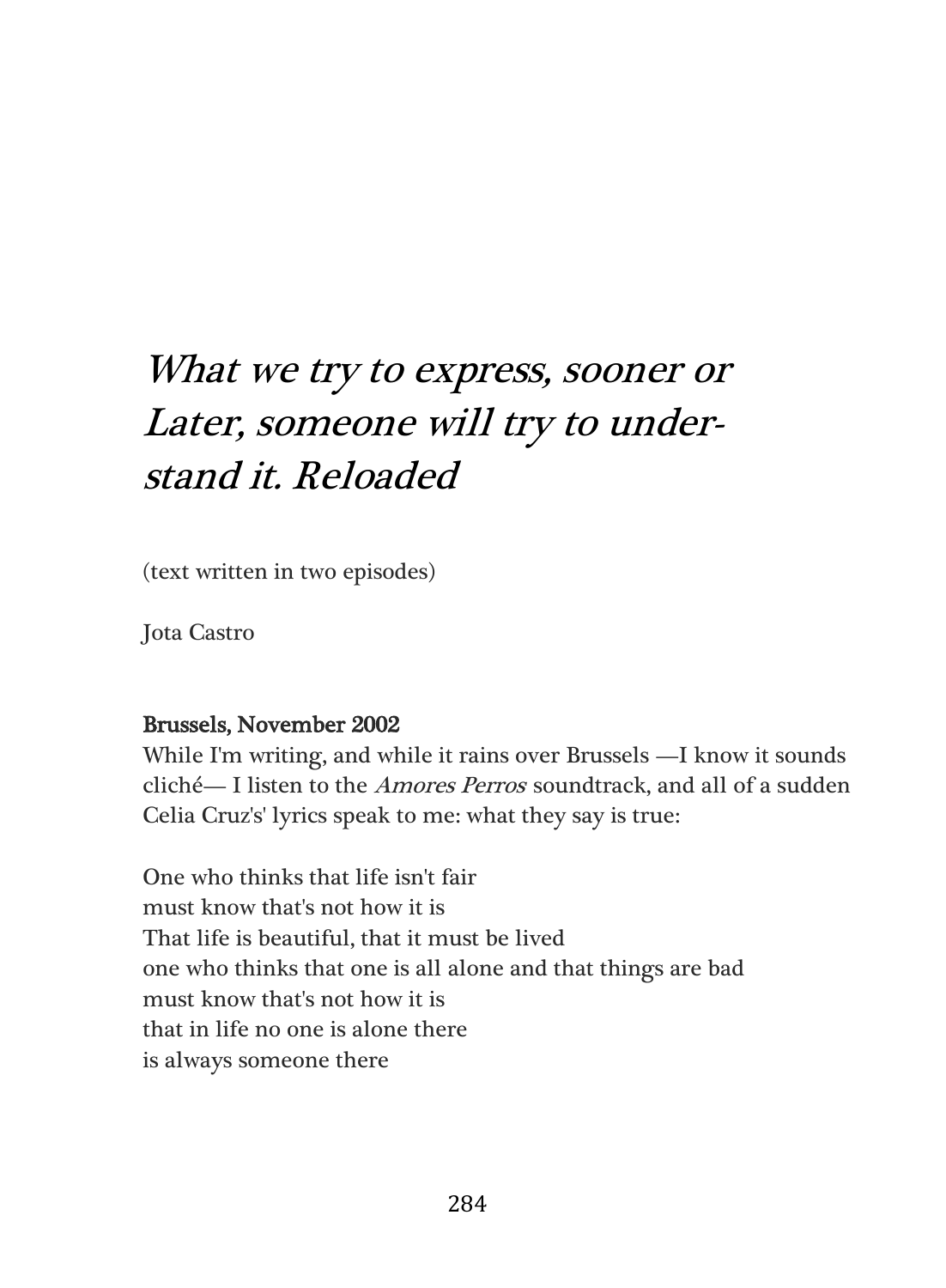## What we try to express, sooner or Later, someone will try to understand it. Reloaded

(text written in two episodes)

Jota Castro

## Brussels, November 2002

While I'm writing, and while it rains over Brussels —I know it sounds cliché— I listen to the *Amores Perros* soundtrack, and all of a sudden Celia Cruz's' lyrics speak to me: what they say is true:

One who thinks that life isn't fair must know that's not how it is That life is beautiful, that it must be lived one who thinks that one is all alone and that things are bad must know that's not how it is that in life no one is alone there is always someone there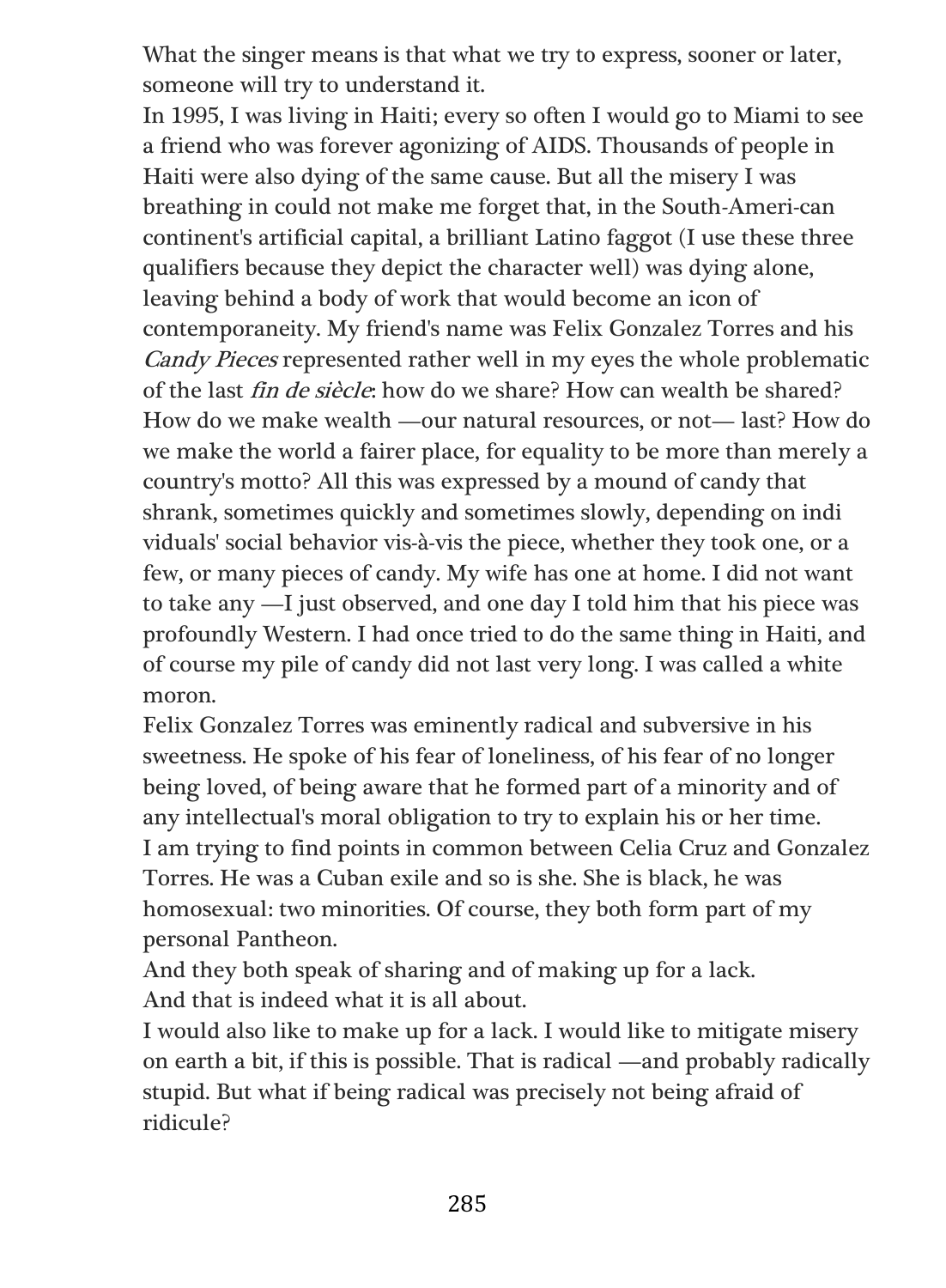What the singer means is that what we try to express, sooner or later, someone will try to understand it.

In 1995, I was living in Haiti; every so often I would go to Miami to see a friend who was forever agonizing of AIDS. Thousands of people in Haiti were also dying of the same cause. But all the misery I was breathing in could not make me forget that, in the South-Ameri-can continent's artificial capital, a brilliant Latino faggot (I use these three qualifiers because they depict the character well) was dying alone, leaving behind a body of work that would become an icon of contemporaneity. My friend's name was Felix Gonzalez Torres and his Candy Pieces represented rather well in my eyes the whole problematic of the last fin de siècle: how do we share? How can wealth be shared? How do we make wealth —our natural resources, or not— last? How do we make the world a fairer place, for equality to be more than merely a country's motto? All this was expressed by a mound of candy that shrank, sometimes quickly and sometimes slowly, depending on indi viduals' social behavior vis-à-vis the piece, whether they took one, or a few, or many pieces of candy. My wife has one at home. I did not want to take any —I just observed, and one day I told him that his piece was profoundly Western. I had once tried to do the same thing in Haiti, and of course my pile of candy did not last very long. I was called a white moron.

Felix Gonzalez Torres was eminently radical and subversive in his sweetness. He spoke of his fear of loneliness, of his fear of no longer being loved, of being aware that he formed part of a minority and of any intellectual's moral obligation to try to explain his or her time. I am trying to find points in common between Celia Cruz and Gonzalez Torres. He was a Cuban exile and so is she. She is black, he was homosexual: two minorities. Of course, they both form part of my personal Pantheon.

And they both speak of sharing and of making up for a lack. And that is indeed what it is all about.

I would also like to make up for a lack. I would like to mitigate misery on earth a bit, if this is possible. That is radical —and probably radically stupid. But what if being radical was precisely not being afraid of ridicule?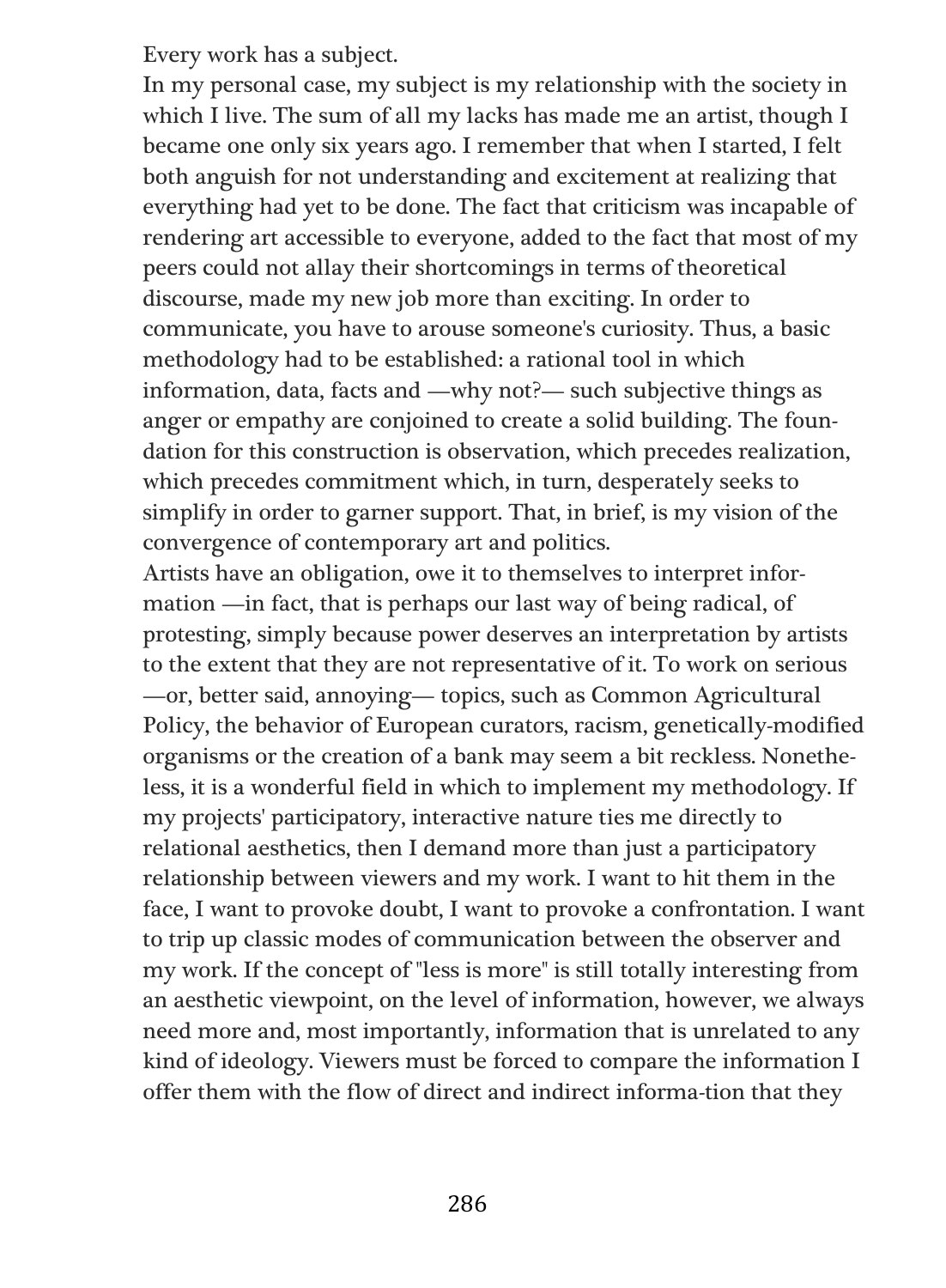Every work has a subject.

In my personal case, my subject is my relationship with the society in which I live. The sum of all my lacks has made me an artist, though I became one only six years ago. I remember that when I started, I felt both anguish for not understanding and excitement at realizing that everything had yet to be done. The fact that criticism was incapable of rendering art accessible to everyone, added to the fact that most of my peers could not allay their shortcomings in terms of theoretical discourse, made my new job more than exciting. In order to communicate, you have to arouse someone's curiosity. Thus, a basic methodology had to be established: a rational tool in which information, data, facts and —why not?— such subjective things as anger or empathy are conjoined to create a solid building. The foundation for this construction is observation, which precedes realization, which precedes commitment which, in turn, desperately seeks to simplify in order to garner support. That, in brief, is my vision of the convergence of contemporary art and politics.

Artists have an obligation, owe it to themselves to interpret information —in fact, that is perhaps our last way of being radical, of protesting, simply because power deserves an interpretation by artists to the extent that they are not representative of it. To work on serious —or, better said, annoying— topics, such as Common Agricultural Policy, the behavior of European curators, racism, genetically-modified organisms or the creation of a bank may seem a bit reckless. Nonetheless, it is a wonderful field in which to implement my methodology. If my projects' participatory, interactive nature ties me directly to relational aesthetics, then I demand more than just a participatory relationship between viewers and my work. I want to hit them in the face, I want to provoke doubt, I want to provoke a confrontation. I want to trip up classic modes of communication between the observer and my work. If the concept of "less is more" is still totally interesting from an aesthetic viewpoint, on the level of information, however, we always need more and, most importantly, information that is unrelated to any kind of ideology. Viewers must be forced to compare the information I offer them with the flow of direct and indirect informa-tion that they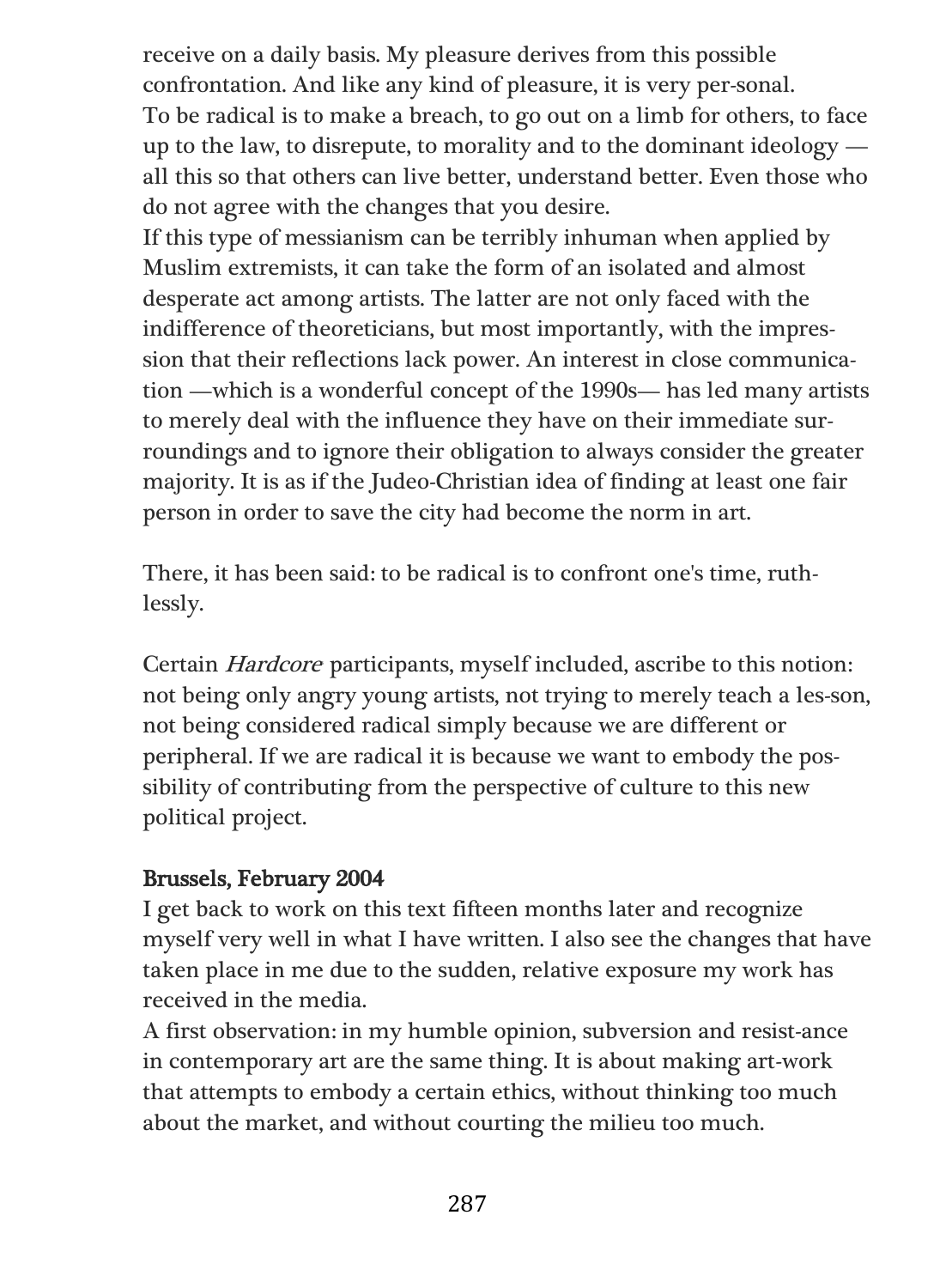receive on a daily basis. My pleasure derives from this possible confrontation. And like any kind of pleasure, it is very per-sonal. To be radical is to make a breach, to go out on a limb for others, to face up to the law, to disrepute, to morality and to the dominant ideology all this so that others can live better, understand better. Even those who do not agree with the changes that you desire.

If this type of messianism can be terribly inhuman when applied by Muslim extremists, it can take the form of an isolated and almost desperate act among artists. The latter are not only faced with the indifference of theoreticians, but most importantly, with the impression that their reflections lack power. An interest in close communication —which is a wonderful concept of the 1990s— has led many artists to merely deal with the influence they have on their immediate surroundings and to ignore their obligation to always consider the greater majority. It is as if the Judeo-Christian idea of finding at least one fair person in order to save the city had become the norm in art.

There, it has been said: to be radical is to confront one's time, ruthlessly.

Certain Hardcore participants, myself included, ascribe to this notion: not being only angry young artists, not trying to merely teach a les-son, not being considered radical simply because we are different or peripheral. If we are radical it is because we want to embody the possibility of contributing from the perspective of culture to this new political project.

## Brussels, February 2004

I get back to work on this text fifteen months later and recognize myself very well in what I have written. I also see the changes that have taken place in me due to the sudden, relative exposure my work has received in the media.

A first observation: in my humble opinion, subversion and resist-ance in contemporary art are the same thing. It is about making art-work that attempts to embody a certain ethics, without thinking too much about the market, and without courting the milieu too much.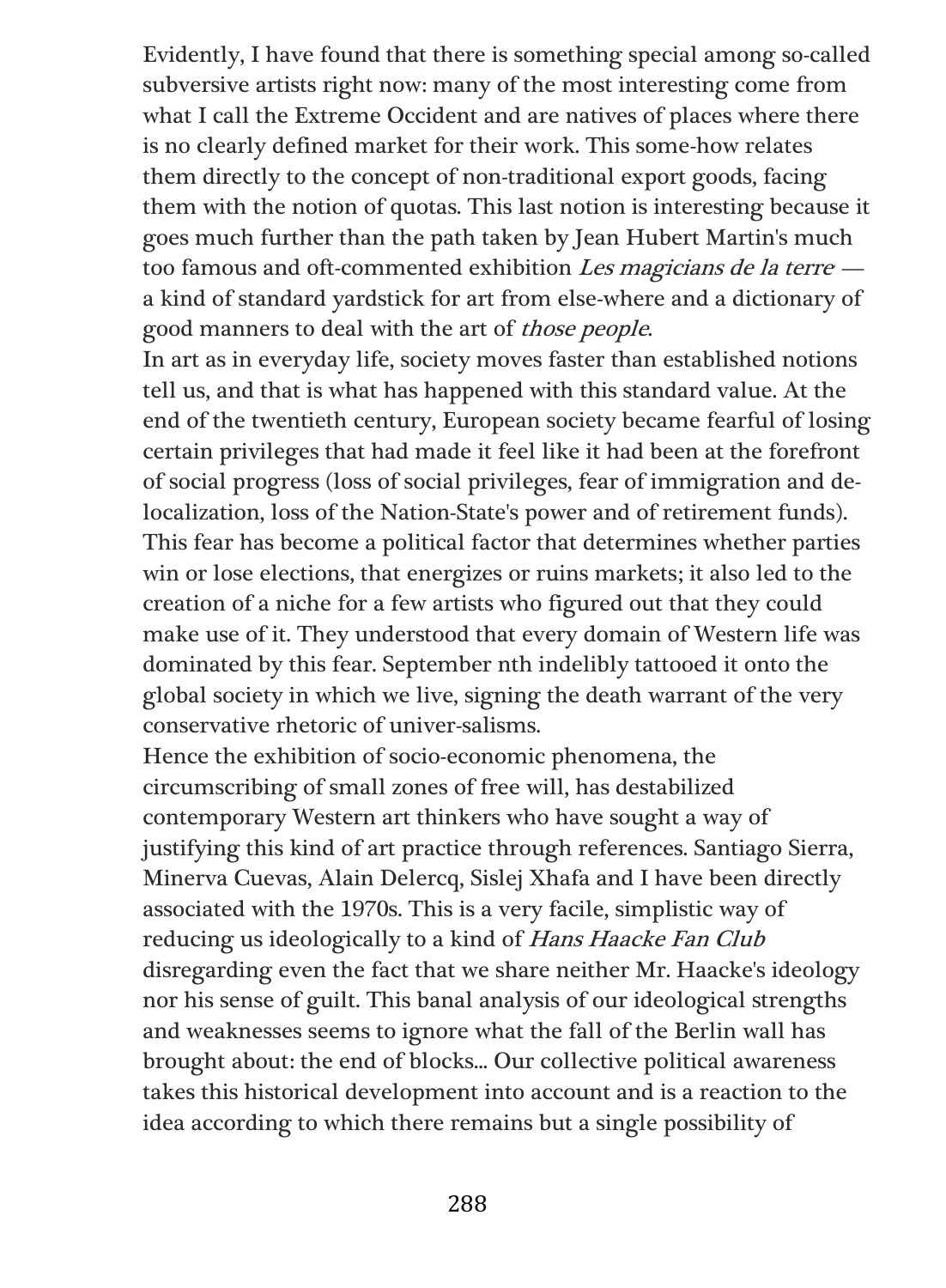Evidently, I have found that there is something special among so-called subversive artists right now: many of the most interesting come from what I call the Extreme Occident and are natives of places where there is no clearly defined market for their work. This some-how relates them directly to the concept of non-traditional export goods, facing them with the notion of quotas. This last notion is interesting because it goes much further than the path taken by Jean Hubert Martin's much too famous and oft-commented exhibition *Les magicians de la terre* a kind of standard yardstick for art from else-where and a dictionary of good manners to deal with the art of those people.

In art as in everyday life, society moves faster than established notions tell us, and that is what has happened with this standard value. At the end of the twentieth century, European society became fearful of losing certain privileges that had made it feel like it had been at the forefront of social progress (loss of social privileges, fear of immigration and delocalization, loss of the Nation-State's power and of retirement funds). This fear has become a political factor that determines whether parties win or lose elections, that energizes or ruins markets; it also led to the creation of a niche for a few artists who figured out that they could make use of it. They understood that every domain of Western life was dominated by this fear. September nth indelibly tattooed it onto the global society in which we live, signing the death warrant of the very conservative rhetoric of univer-salisms.

Hence the exhibition of socio-economic phenomena, the circumscribing of small zones of free will, has destabilized contemporary Western art thinkers who have sought a way of justifying this kind of art practice through references. Santiago Sierra, Minerva Cuevas, Alain Delercq, Sislej Xhafa and I have been directly associated with the 1970s. This is a very facile, simplistic way of reducing us ideologically to a kind of Hans Haacke Fan Club disregarding even the fact that we share neither Mr. Haacke's ideology nor his sense of guilt. This banal analysis of our ideological strengths and weaknesses seems to ignore what the fall of the Berlin wall has brought about: the end of blocks... Our collective political awareness takes this historical development into account and is a reaction to the idea according to which there remains but a single possibility of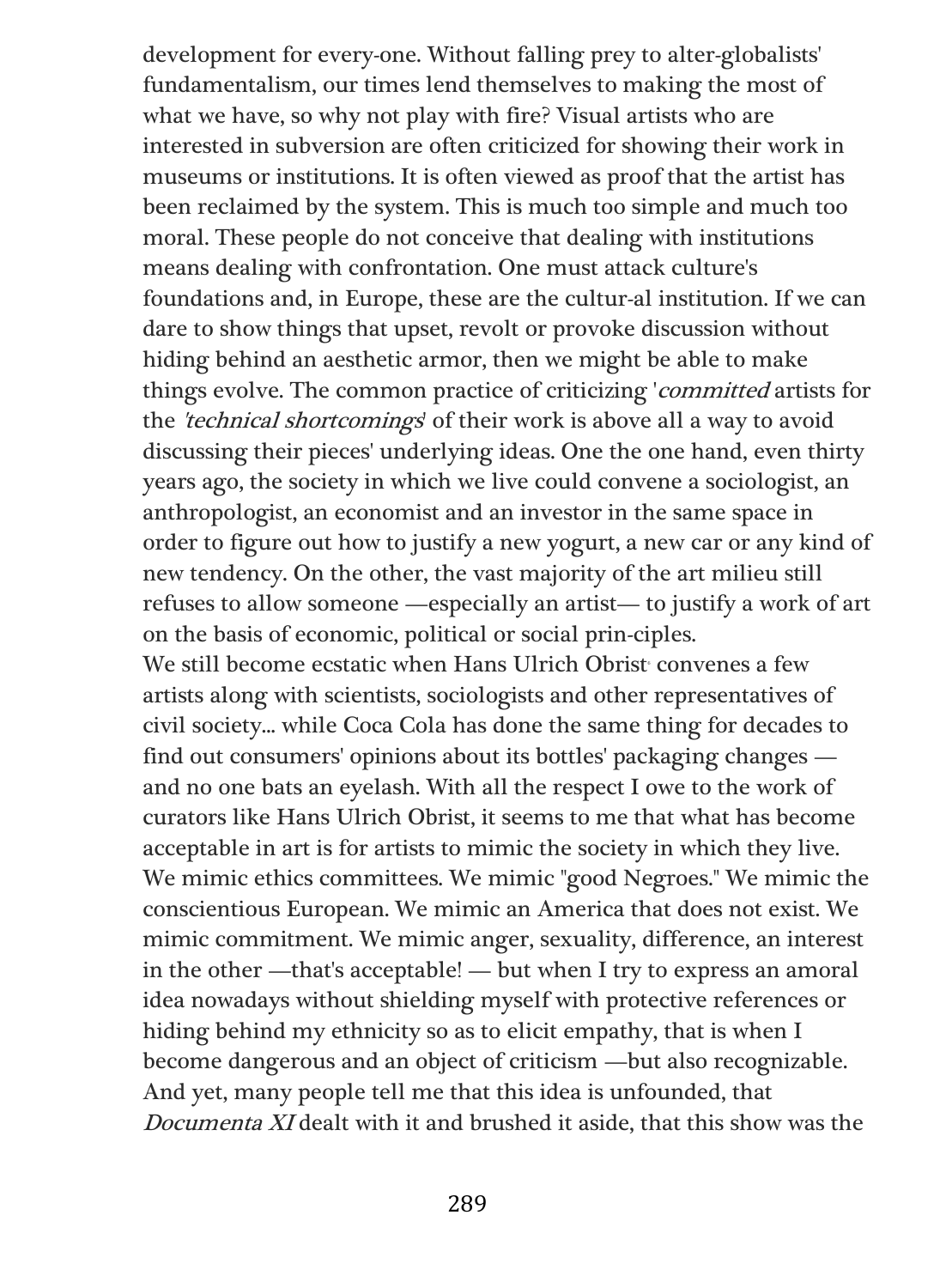development for every-one. Without falling prey to alter-globalists' fundamentalism, our times lend themselves to making the most of what we have, so why not play with fire? Visual artists who are interested in subversion are often criticized for showing their work in museums or institutions. It is often viewed as proof that the artist has been reclaimed by the system. This is much too simple and much too moral. These people do not conceive that dealing with institutions means dealing with confrontation. One must attack culture's foundations and, in Europe, these are the cultur-al institution. If we can dare to show things that upset, revolt or provoke discussion without hiding behind an aesthetic armor, then we might be able to make things evolve. The common practice of criticizing 'committed artists for the 'technical shortcomings' of their work is above all a way to avoid discussing their pieces' underlying ideas. One the one hand, even thirty years ago, the society in which we live could convene a sociologist, an anthropologist, an economist and an investor in the same space in order to figure out how to justify a new yogurt, a new car or any kind of new tendency. On the other, the vast majority of the art milieu still refuses to allow someone —especially an artist— to justify a work of art on the basis of economic, political or social prin-ciples. We still become ecstatic when Hans Ulrich Obrist convenes a few artists along with scientists, sociologists and other representatives of civil society... while Coca Cola has done the same thing for decades to find out consumers' opinions about its bottles' packaging changes and no one bats an eyelash. With all the respect I owe to the work of curators like Hans Ulrich Obrist, it seems to me that what has become acceptable in art is for artists to mimic the society in which they live. We mimic ethics committees. We mimic "good Negroes." We mimic the conscientious European. We mimic an America that does not exist. We mimic commitment. We mimic anger, sexuality, difference, an interest in the other —that's acceptable! — but when I try to express an amoral idea nowadays without shielding myself with protective references or hiding behind my ethnicity so as to elicit empathy, that is when I become dangerous and an object of criticism —but also recognizable. And yet, many people tell me that this idea is unfounded, that Documenta XI dealt with it and brushed it aside, that this show was the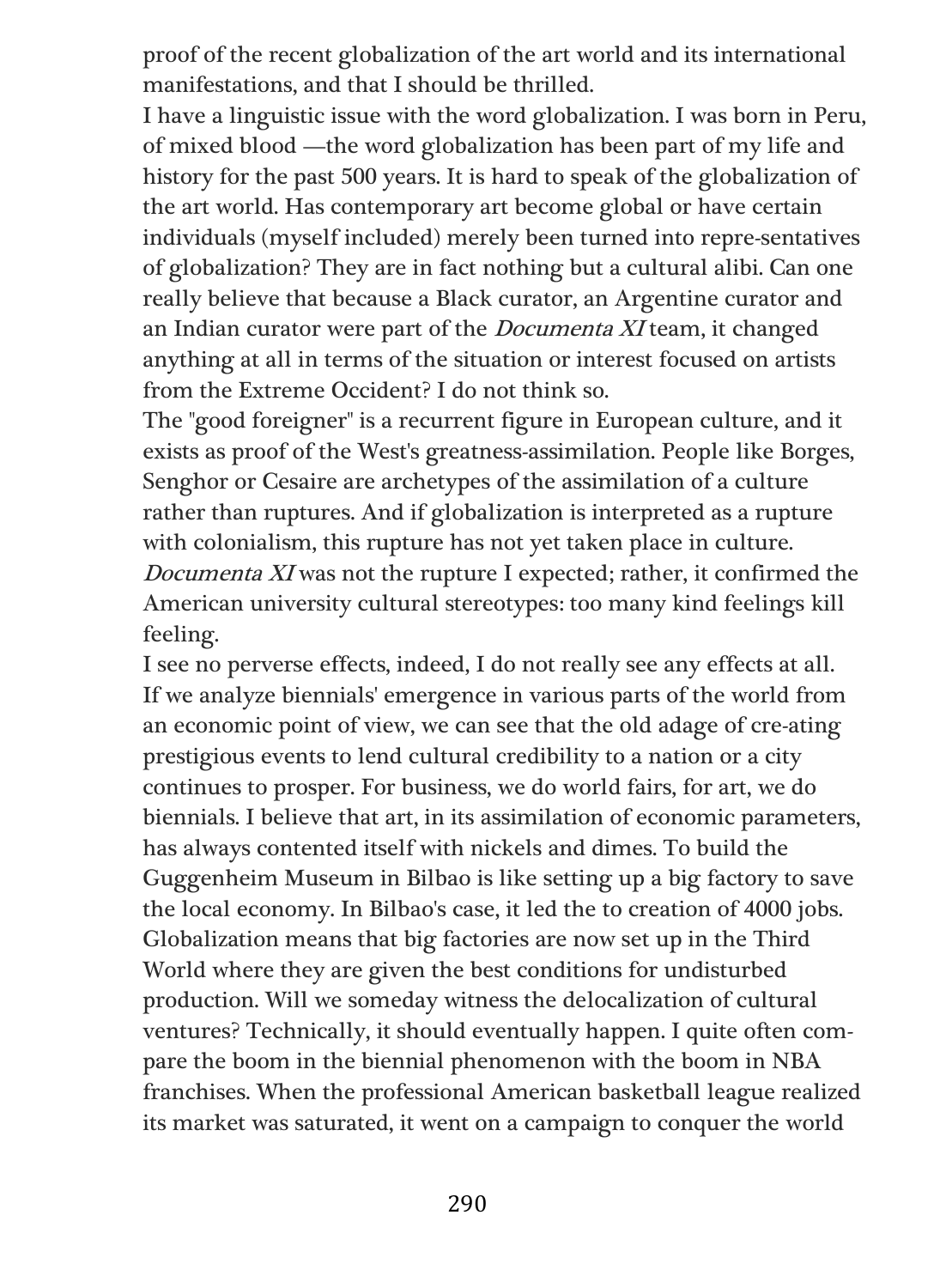proof of the recent globalization of the art world and its international manifestations, and that I should be thrilled.

I have a linguistic issue with the word globalization. I was born in Peru, of mixed blood —the word globalization has been part of my life and history for the past 500 years. It is hard to speak of the globalization of the art world. Has contemporary art become global or have certain individuals (myself included) merely been turned into repre-sentatives of globalization? They are in fact nothing but a cultural alibi. Can one really believe that because a Black curator, an Argentine curator and an Indian curator were part of the Documenta XI team, it changed anything at all in terms of the situation or interest focused on artists from the Extreme Occident? I do not think so.

The "good foreigner" is a recurrent figure in European culture, and it exists as proof of the West's greatness-assimilation. People like Borges, Senghor or Cesaire are archetypes of the assimilation of a culture rather than ruptures. And if globalization is interpreted as a rupture with colonialism, this rupture has not yet taken place in culture. Documenta XI was not the rupture I expected; rather, it confirmed the American university cultural stereotypes: too many kind feelings kill feeling.

I see no perverse effects, indeed, I do not really see any effects at all. If we analyze biennials' emergence in various parts of the world from an economic point of view, we can see that the old adage of cre-ating prestigious events to lend cultural credibility to a nation or a city continues to prosper. For business, we do world fairs, for art, we do biennials. I believe that art, in its assimilation of economic parameters, has always contented itself with nickels and dimes. To build the Guggenheim Museum in Bilbao is like setting up a big factory to save the local economy. In Bilbao's case, it led the to creation of 4000 jobs. Globalization means that big factories are now set up in the Third World where they are given the best conditions for undisturbed production. Will we someday witness the delocalization of cultural ventures? Technically, it should eventually happen. I quite often compare the boom in the biennial phenomenon with the boom in NBA franchises. When the professional American basketball league realized its market was saturated, it went on a campaign to conquer the world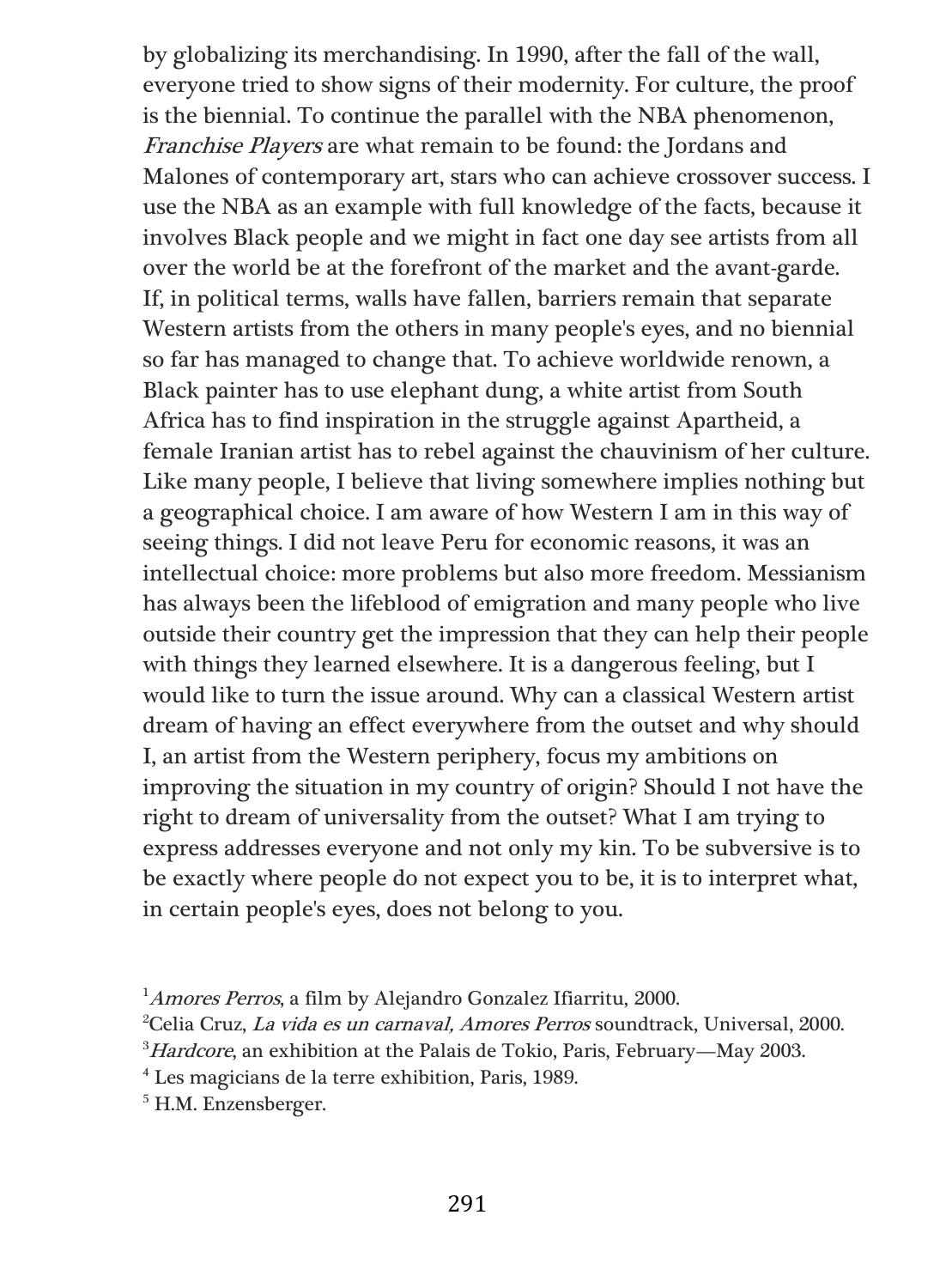by globalizing its merchandising. In 1990, after the fall of the wall, everyone tried to show signs of their modernity. For culture, the proof is the biennial. To continue the parallel with the NBA phenomenon, Franchise Players are what remain to be found: the Jordans and Malones of contemporary art, stars who can achieve crossover success. I use the NBA as an example with full knowledge of the facts, because it involves Black people and we might in fact one day see artists from all over the world be at the forefront of the market and the avant-garde. If, in political terms, walls have fallen, barriers remain that separate Western artists from the others in many people's eyes, and no biennial so far has managed to change that. To achieve worldwide renown, a Black painter has to use elephant dung, a white artist from South Africa has to find inspiration in the struggle against Apartheid, a female Iranian artist has to rebel against the chauvinism of her culture. Like many people, I believe that living somewhere implies nothing but a geographical choice. I am aware of how Western I am in this way of seeing things. I did not leave Peru for economic reasons, it was an intellectual choice: more problems but also more freedom. Messianism has always been the lifeblood of emigration and many people who live outside their country get the impression that they can help their people with things they learned elsewhere. It is a dangerous feeling, but I would like to turn the issue around. Why can a classical Western artist dream of having an effect everywhere from the outset and why should I, an artist from the Western periphery, focus my ambitions on improving the situation in my country of origin? Should I not have the right to dream of universality from the outset? What I am trying to express addresses everyone and not only my kin. To be subversive is to be exactly where people do not expect you to be, it is to interpret what, in certain people's eyes, does not belong to you.

<sup>4</sup> Les magicians de la terre exhibition, Paris, 1989.

<sup>5</sup> H.M. Enzensberger.

<sup>&</sup>lt;sup>1</sup> Amores Perros, a film by Alejandro Gonzalez Ifiarritu, 2000.

<sup>&</sup>lt;sup>2</sup>Celia Cruz, La vida es un carnaval, Amores Perros soundtrack, Universal, 2000.

 $3Hardcore$ , an exhibition at the Palais de Tokio, Paris, February—May 2003.